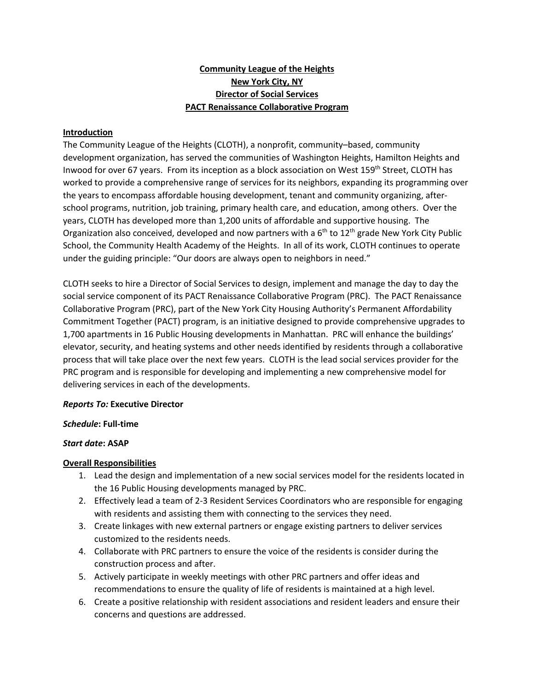# **Community League of the Heights New York City, NY Director of Social Services PACT Renaissance Collaborative Program**

### **Introduction**

The Community League of the Heights (CLOTH), a nonprofit, community–based, community development organization, has served the communities of Washington Heights, Hamilton Heights and Inwood for over 67 years. From its inception as a block association on West 159<sup>th</sup> Street, CLOTH has worked to provide a comprehensive range of services for its neighbors, expanding its programming over the years to encompass affordable housing development, tenant and community organizing, afterschool programs, nutrition, job training, primary health care, and education, among others. Over the years, CLOTH has developed more than 1,200 units of affordable and supportive housing. The Organization also conceived, developed and now partners with a  $6<sup>th</sup>$  to 12<sup>th</sup> grade New York City Public School, the Community Health Academy of the Heights. In all of its work, CLOTH continues to operate under the guiding principle: "Our doors are always open to neighbors in need."

CLOTH seeks to hire a Director of Social Services to design, implement and manage the day to day the social service component of its PACT Renaissance Collaborative Program (PRC). The PACT Renaissance Collaborative Program (PRC), part of the New York City Housing Authority's Permanent Affordability Commitment Together (PACT) program, is an initiative designed to provide comprehensive upgrades to 1,700 apartments in 16 Public Housing developments in Manhattan. PRC will enhance the buildings' elevator, security, and heating systems and other needs identified by residents through a collaborative process that will take place over the next few years. CLOTH is the lead social services provider for the PRC program and is responsible for developing and implementing a new comprehensive model for delivering services in each of the developments.

### *Reports To:* **Executive Director**

#### *Schedule***: Full-time**

### *Start date***: ASAP**

### **Overall Responsibilities**

- 1. Lead the design and implementation of a new social services model for the residents located in the 16 Public Housing developments managed by PRC.
- 2. Effectively lead a team of 2-3 Resident Services Coordinators who are responsible for engaging with residents and assisting them with connecting to the services they need.
- 3. Create linkages with new external partners or engage existing partners to deliver services customized to the residents needs.
- 4. Collaborate with PRC partners to ensure the voice of the residents is consider during the construction process and after.
- 5. Actively participate in weekly meetings with other PRC partners and offer ideas and recommendations to ensure the quality of life of residents is maintained at a high level.
- 6. Create a positive relationship with resident associations and resident leaders and ensure their concerns and questions are addressed.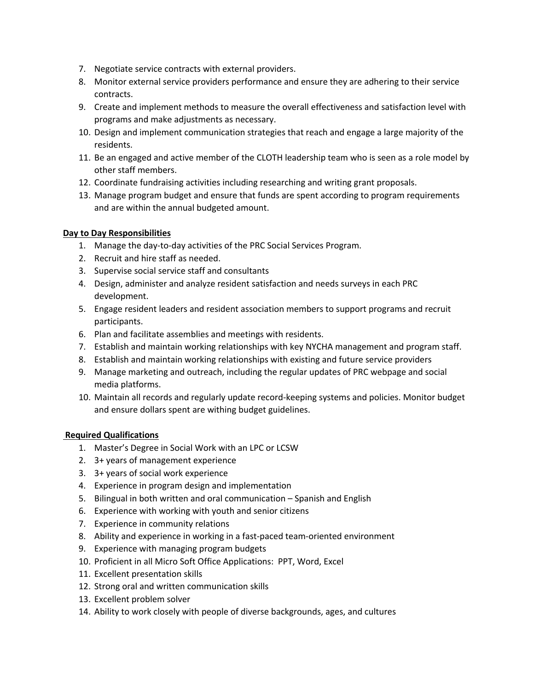- 7. Negotiate service contracts with external providers.
- 8. Monitor external service providers performance and ensure they are adhering to their service contracts.
- 9. Create and implement methods to measure the overall effectiveness and satisfaction level with programs and make adjustments as necessary.
- 10. Design and implement communication strategies that reach and engage a large majority of the residents.
- 11. Be an engaged and active member of the CLOTH leadership team who is seen as a role model by other staff members.
- 12. Coordinate fundraising activities including researching and writing grant proposals.
- 13. Manage program budget and ensure that funds are spent according to program requirements and are within the annual budgeted amount.

# **Day to Day Responsibilities**

- 1. Manage the day-to-day activities of the PRC Social Services Program.
- 2. Recruit and hire staff as needed.
- 3. Supervise social service staff and consultants
- 4. Design, administer and analyze resident satisfaction and needs surveys in each PRC development.
- 5. Engage resident leaders and resident association members to support programs and recruit participants.
- 6. Plan and facilitate assemblies and meetings with residents.
- 7. Establish and maintain working relationships with key NYCHA management and program staff.
- 8. Establish and maintain working relationships with existing and future service providers
- 9. Manage marketing and outreach, including the regular updates of PRC webpage and social media platforms.
- 10. Maintain all records and regularly update record-keeping systems and policies. Monitor budget and ensure dollars spent are withing budget guidelines.

### **Required Qualifications**

- 1. Master's Degree in Social Work with an LPC or LCSW
- 2. 3+ years of management experience
- 3. 3+ years of social work experience
- 4. Experience in program design and implementation
- 5. Bilingual in both written and oral communication Spanish and English
- 6. Experience with working with youth and senior citizens
- 7. Experience in community relations
- 8. Ability and experience in working in a fast-paced team-oriented environment
- 9. Experience with managing program budgets
- 10. Proficient in all Micro Soft Office Applications: PPT, Word, Excel
- 11. Excellent presentation skills
- 12. Strong oral and written communication skills
- 13. Excellent problem solver
- 14. Ability to work closely with people of diverse backgrounds, ages, and cultures